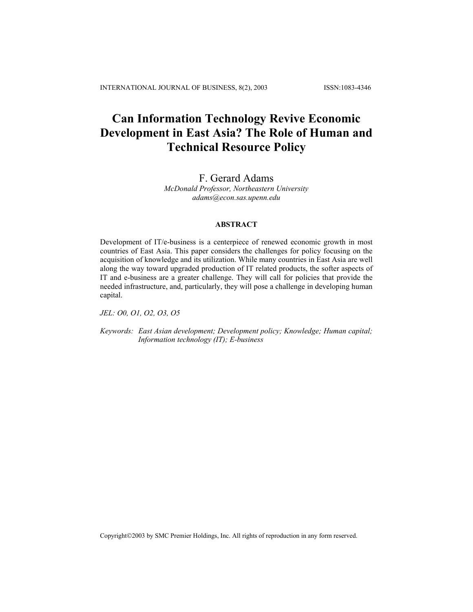# **Can Information Technology Revive Economic Development in East Asia? The Role of Human and Technical Resource Policy**

## F. Gerard Adams

*McDonald Professor, Northeastern University adams@econ.sas.upenn.edu* 

### **ABSTRACT**

Development of IT/e-business is a centerpiece of renewed economic growth in most countries of East Asia. This paper considers the challenges for policy focusing on the acquisition of knowledge and its utilization. While many countries in East Asia are well along the way toward upgraded production of IT related products, the softer aspects of IT and e-business are a greater challenge. They will call for policies that provide the needed infrastructure, and, particularly, they will pose a challenge in developing human capital.

*JEL: O0, O1, O2, O3, O5* 

*Keywords: East Asian development; Development policy; Knowledge; Human capital; Information technology (IT); E-business* 

Copyright©2003 by SMC Premier Holdings, Inc. All rights of reproduction in any form reserved.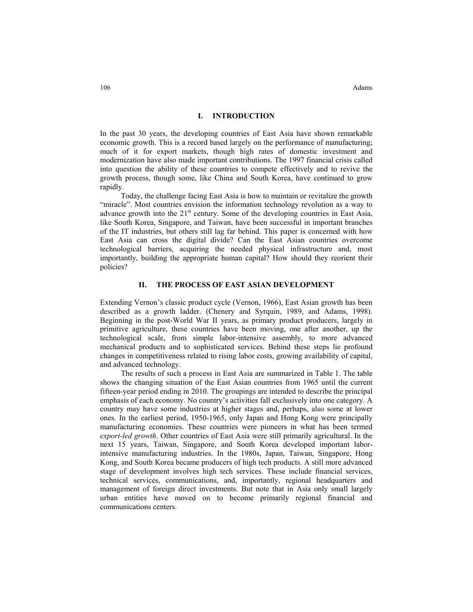## **I. INTRODUCTION**

In the past 30 years, the developing countries of East Asia have shown remarkable economic growth. This is a record based largely on the performance of manufacturing; much of it for export markets, though high rates of domestic investment and modernization have also made important contributions. The 1997 financial crisis called into question the ability of these countries to compete effectively and to revive the growth process, though some, like China and South Korea, have continued to grow rapidly.

Today, the challenge facing East Asia is how to maintain or revitalize the growth "miracle". Most countries envision the information technology revolution as a way to advance growth into the  $21<sup>st</sup>$  century. Some of the developing countries in East Asia, like South Korea, Singapore, and Taiwan, have been successful in important branches of the IT industries, but others still lag far behind. This paper is concerned with how East Asia can cross the digital divide? Can the East Asian countries overcome technological barriers, acquiring the needed physical infrastructure and, most importantly, building the appropriate human capital? How should they reorient their policies?

## **II. THE PROCESS OF EAST ASIAN DEVELOPMENT**

Extending Vernon's classic product cycle (Vernon, 1966), East Asian growth has been described as a growth ladder. (Chenery and Syrquin, 1989, and Adams, 1998). Beginning in the post-World War II years, as primary product producers, largely in primitive agriculture, these countries have been moving, one after another, up the technological scale, from simple labor-intensive assembly, to more advanced mechanical products and to sophisticated services. Behind these steps lie profound changes in competitiveness related to rising labor costs, growing availability of capital, and advanced technology.

The results of such a process in East Asia are summarized in Table 1. The table shows the changing situation of the East Asian countries from 1965 until the current fifteen-year period ending in 2010. The groupings are intended to describe the principal emphasis of each economy. No country's activities fall exclusively into one category. A country may have some industries at higher stages and, perhaps, also some at lower ones. In the earliest period, 1950-1965, only Japan and Hong Kong were principally manufacturing economies. These countries were pioneers in what has been termed *export-led growth*. Other countries of East Asia were still primarily agricultural. In the next 15 years, Taiwan, Singapore, and South Korea developed important laborintensive manufacturing industries. In the 1980s, Japan, Taiwan, Singapore, Hong Kong, and South Korea became producers of high tech products. A still more advanced stage of development involves high tech services. These include financial services, technical services, communications, and, importantly, regional headquarters and management of foreign direct investments. But note that in Asia only small largely urban entities have moved on to become primarily regional financial and communications centers.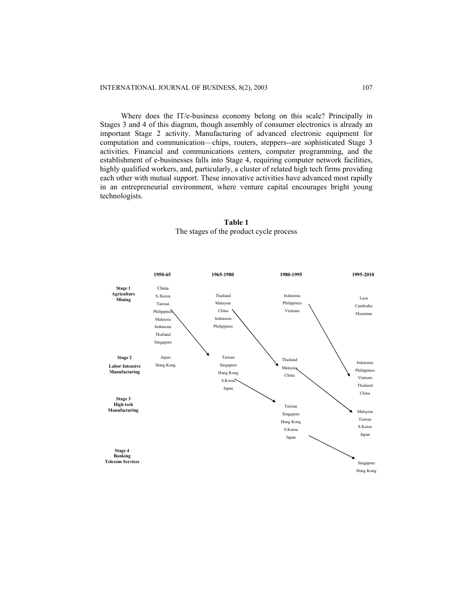Where does the IT/e-business economy belong on this scale? Principally in Stages 3 and 4 of this diagram, though assembly of consumer electronics is already an important Stage 2 activity. Manufacturing of advanced electronic equipment for computation and communication—chips, routers, steppers--are sophisticated Stage 3 activities. Financial and communications centers, computer programming, and the establishment of e-businesses falls into Stage 4, requiring computer network facilities, highly qualified workers, and, particularly, a cluster of related high tech firms providing each other with mutual support. These innovative activities have advanced most rapidly in an entrepreneurial environment, where venture capital encourages bright young technologists.



## **Table 1** The stages of the product cycle process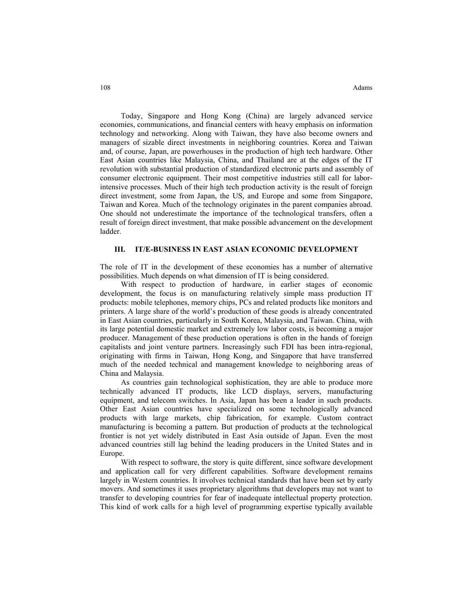Today, Singapore and Hong Kong (China) are largely advanced service economies, communications, and financial centers with heavy emphasis on information technology and networking. Along with Taiwan, they have also become owners and managers of sizable direct investments in neighboring countries. Korea and Taiwan and, of course, Japan, are powerhouses in the production of high tech hardware. Other East Asian countries like Malaysia, China, and Thailand are at the edges of the IT revolution with substantial production of standardized electronic parts and assembly of consumer electronic equipment. Their most competitive industries still call for laborintensive processes. Much of their high tech production activity is the result of foreign direct investment, some from Japan, the US, and Europe and some from Singapore, Taiwan and Korea. Much of the technology originates in the parent companies abroad. One should not underestimate the importance of the technological transfers, often a result of foreign direct investment, that make possible advancement on the development ladder.

### **III. IT/E-BUSINESS IN EAST ASIAN ECONOMIC DEVELOPMENT**

The role of IT in the development of these economies has a number of alternative possibilities. Much depends on what dimension of IT is being considered.

With respect to production of hardware, in earlier stages of economic development, the focus is on manufacturing relatively simple mass production IT products: mobile telephones, memory chips, PCs and related products like monitors and printers. A large share of the world's production of these goods is already concentrated in East Asian countries, particularly in South Korea, Malaysia, and Taiwan. China, with its large potential domestic market and extremely low labor costs, is becoming a major producer. Management of these production operations is often in the hands of foreign capitalists and joint venture partners. Increasingly such FDI has been intra-regional, originating with firms in Taiwan, Hong Kong, and Singapore that have transferred much of the needed technical and management knowledge to neighboring areas of China and Malaysia.

As countries gain technological sophistication, they are able to produce more technically advanced IT products, like LCD displays, servers, manufacturing equipment, and telecom switches. In Asia, Japan has been a leader in such products. Other East Asian countries have specialized on some technologically advanced products with large markets, chip fabrication, for example. Custom contract manufacturing is becoming a pattern. But production of products at the technological frontier is not yet widely distributed in East Asia outside of Japan. Even the most advanced countries still lag behind the leading producers in the United States and in Europe.

With respect to software, the story is quite different, since software development and application call for very different capabilities. Software development remains largely in Western countries. It involves technical standards that have been set by early movers. And sometimes it uses proprietary algorithms that developers may not want to transfer to developing countries for fear of inadequate intellectual property protection. This kind of work calls for a high level of programming expertise typically available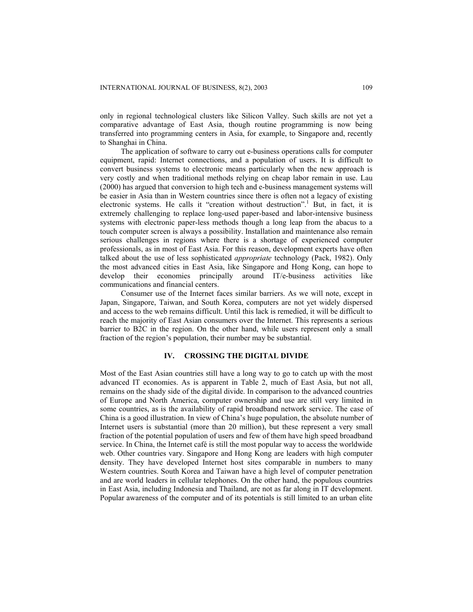only in regional technological clusters like Silicon Valley. Such skills are not yet a comparative advantage of East Asia, though routine programming is now being transferred into programming centers in Asia, for example, to Singapore and, recently to Shanghai in China.

The application of software to carry out e-business operations calls for computer equipment, rapid: Internet connections, and a population of users. It is difficult to convert business systems to electronic means particularly when the new approach is very costly and when traditional methods relying on cheap labor remain in use. Lau (2000) has argued that conversion to high tech and e-business management systems will be easier in Asia than in Western countries since there is often not a legacy of existing electronic systems. He calls it "creation without destruction".<sup>1</sup> But, in fact, it is extremely challenging to replace long-used paper-based and labor-intensive business systems with electronic paper-less methods though a long leap from the abacus to a touch computer screen is always a possibility. Installation and maintenance also remain serious challenges in regions where there is a shortage of experienced computer professionals, as in most of East Asia. For this reason, development experts have often talked about the use of less sophisticated *appropriate* technology (Pack, 1982). Only the most advanced cities in East Asia, like Singapore and Hong Kong, can hope to develop their economies principally around IT/e-business activities like communications and financial centers.

Consumer use of the Internet faces similar barriers. As we will note, except in Japan, Singapore, Taiwan, and South Korea, computers are not yet widely dispersed and access to the web remains difficult. Until this lack is remedied, it will be difficult to reach the majority of East Asian consumers over the Internet. This represents a serious barrier to B2C in the region. On the other hand, while users represent only a small fraction of the region's population, their number may be substantial.

## **IV. CROSSING THE DIGITAL DIVIDE**

Most of the East Asian countries still have a long way to go to catch up with the most advanced IT economies. As is apparent in Table 2, much of East Asia, but not all, remains on the shady side of the digital divide. In comparison to the advanced countries of Europe and North America, computer ownership and use are still very limited in some countries, as is the availability of rapid broadband network service. The case of China is a good illustration. In view of China's huge population, the absolute number of Internet users is substantial (more than 20 million), but these represent a very small fraction of the potential population of users and few of them have high speed broadband service. In China, the Internet café is still the most popular way to access the worldwide web. Other countries vary. Singapore and Hong Kong are leaders with high computer density. They have developed Internet host sites comparable in numbers to many Western countries. South Korea and Taiwan have a high level of computer penetration and are world leaders in cellular telephones. On the other hand, the populous countries in East Asia, including Indonesia and Thailand, are not as far along in IT development. Popular awareness of the computer and of its potentials is still limited to an urban elite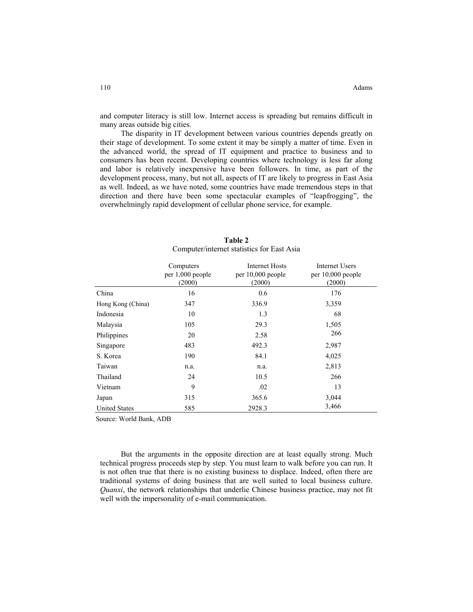and computer literacy is still low. Internet access is spreading but remains difficult in many areas outside big cities.

The disparity in IT development between various countries depends greatly on their stage of development. To some extent it may be simply a matter of time. Even in the advanced world, the spread of IT equipment and practice to business and to consumers has been recent. Developing countries where technology is less far along and labor is relatively inexpensive have been followers. In time, as part of the development process, many, but not all, aspects of IT are likely to progress in East Asia as well. Indeed, as we have noted, some countries have made tremendous steps in that direction and there have been some spectacular examples of "leapfrogging", the overwhelmingly rapid development of cellular phone service, for example.

|                      | Computers        | <b>Internet Hosts</b> | <b>Internet Users</b> |
|----------------------|------------------|-----------------------|-----------------------|
|                      | per 1,000 people | per $10,000$ people   | per $10,000$ people   |
|                      | (2000)           | (2000)                | (2000)                |
| China                | 16               | 0.6                   | 176                   |
| Hong Kong (China)    | 347              | 336.9                 | 3,359                 |
| Indonesia            | 10               | 1.3                   | 68                    |
| Malaysia             | 105              | 29.3                  | 1,505                 |
| Philippines          | 20               | 2.58                  | 266                   |
| Singapore            | 483              | 492.3                 | 2,987                 |
| S. Korea             | 190              | 84.1                  | 4,025                 |
| Taiwan               | n.a.             | n.a.                  | 2,813                 |
| Thailand             | 24               | 10.5                  | 266                   |
| Vietnam              | 9                | .02                   | 13                    |
| Japan                | 315              | 365.6                 | 3,044                 |
| <b>United States</b> | 585              | 2928.3                | 3,466                 |

#### **Table 2** Computer/internet statistics for East Asia

Source: World Bank, ADB

But the arguments in the opposite direction are at least equally strong. Much technical progress proceeds step by step. You must learn to walk before you can run. It is not often true that there is no existing business to displace. Indeed, often there are traditional systems of doing business that are well suited to local business culture. *Quanxi*, the network relationships that underlie Chinese business practice, may not fit well with the impersonality of e-mail communication.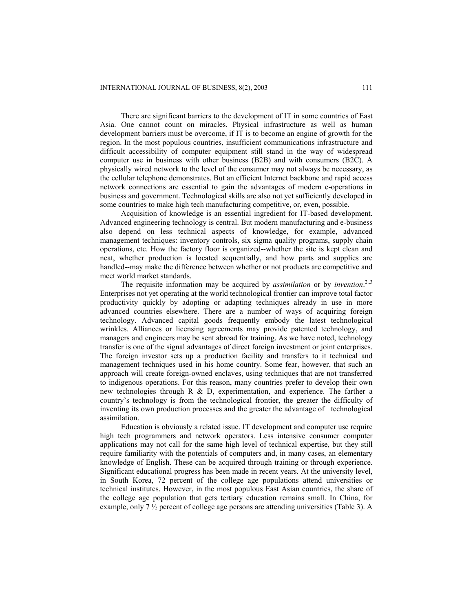There are significant barriers to the development of IT in some countries of East Asia. One cannot count on miracles. Physical infrastructure as well as human development barriers must be overcome, if IT is to become an engine of growth for the region. In the most populous countries, insufficient communications infrastructure and difficult accessibility of computer equipment still stand in the way of widespread computer use in business with other business (B2B) and with consumers (B2C). A physically wired network to the level of the consumer may not always be necessary, as the cellular telephone demonstrates. But an efficient Internet backbone and rapid access network connections are essential to gain the advantages of modern e-operations in business and government. Technological skills are also not yet sufficiently developed in some countries to make high tech manufacturing competitive, or, even, possible.

Acquisition of knowledge is an essential ingredient for IT-based development. Advanced engineering technology is central. But modern manufacturing and e-business also depend on less technical aspects of knowledge, for example, advanced management techniques: inventory controls, six sigma quality programs, supply chain operations, etc. How the factory floor is organized--whether the site is kept clean and neat, whether production is located sequentially, and how parts and supplies are handled--may make the difference between whether or not products are competitive and meet world market standards.

The requisite information may be acquired by *assimilation* or by *invention*. 2.,3 Enterprises not yet operating at the world technological frontier can improve total factor productivity quickly by adopting or adapting techniques already in use in more advanced countries elsewhere. There are a number of ways of acquiring foreign technology. Advanced capital goods frequently embody the latest technological wrinkles. Alliances or licensing agreements may provide patented technology, and managers and engineers may be sent abroad for training. As we have noted, technology transfer is one of the signal advantages of direct foreign investment or joint enterprises. The foreign investor sets up a production facility and transfers to it technical and management techniques used in his home country. Some fear, however, that such an approach will create foreign-owned enclaves, using techniques that are not transferred to indigenous operations. For this reason, many countries prefer to develop their own new technologies through R & D, experimentation, and experience. The farther a country's technology is from the technological frontier, the greater the difficulty of inventing its own production processes and the greater the advantage of technological assimilation.

Education is obviously a related issue. IT development and computer use require high tech programmers and network operators. Less intensive consumer computer applications may not call for the same high level of technical expertise, but they still require familiarity with the potentials of computers and, in many cases, an elementary knowledge of English. These can be acquired through training or through experience. Significant educational progress has been made in recent years. At the university level, in South Korea, 72 percent of the college age populations attend universities or technical institutes. However, in the most populous East Asian countries, the share of the college age population that gets tertiary education remains small. In China, for example, only 7 ½ percent of college age persons are attending universities (Table 3). A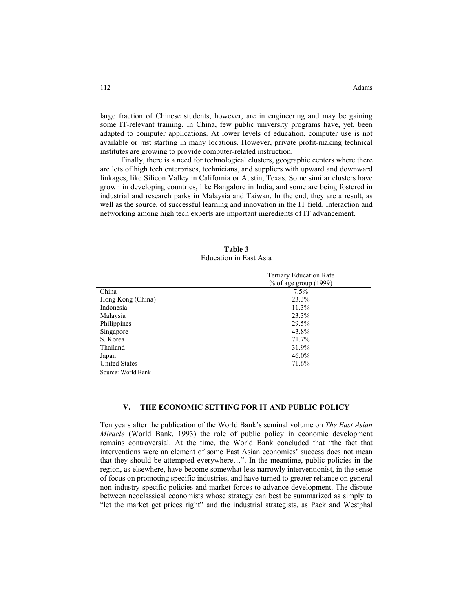large fraction of Chinese students, however, are in engineering and may be gaining some IT-relevant training. In China, few public university programs have, yet, been adapted to computer applications. At lower levels of education, computer use is not available or just starting in many locations. However, private profit-making technical institutes are growing to provide computer-related instruction.

Finally, there is a need for technological clusters, geographic centers where there are lots of high tech enterprises, technicians, and suppliers with upward and downward linkages, like Silicon Valley in California or Austin, Texas. Some similar clusters have grown in developing countries, like Bangalore in India, and some are being fostered in industrial and research parks in Malaysia and Taiwan. In the end, they are a result, as well as the source, of successful learning and innovation in the IT field. Interaction and networking among high tech experts are important ingredients of IT advancement.

| Table 3                |  |  |  |
|------------------------|--|--|--|
| Education in East Asia |  |  |  |

|                      | <b>Tertiary Education Rate</b> |  |
|----------------------|--------------------------------|--|
|                      | $%$ of age group (1999)        |  |
| China                | $7.5\%$                        |  |
| Hong Kong (China)    | 23.3%                          |  |
| Indonesia            | 11.3%                          |  |
| Malaysia             | 23.3%                          |  |
| Philippines          | 29.5%                          |  |
| Singapore            | 43.8%                          |  |
| S. Korea             | 71.7%                          |  |
| Thailand             | 31.9%                          |  |
| Japan                | 46.0%                          |  |
| <b>United States</b> | 71.6%                          |  |

Source: World Bank

## **V. THE ECONOMIC SETTING FOR IT AND PUBLIC POLICY**

Ten years after the publication of the World Bank's seminal volume on *The East Asian Miracle* (World Bank, 1993) the role of public policy in economic development remains controversial. At the time, the World Bank concluded that "the fact that interventions were an element of some East Asian economies' success does not mean that they should be attempted everywhere…". In the meantime, public policies in the region, as elsewhere, have become somewhat less narrowly interventionist, in the sense of focus on promoting specific industries, and have turned to greater reliance on general non-industry-specific policies and market forces to advance development. The dispute between neoclassical economists whose strategy can best be summarized as simply to "let the market get prices right" and the industrial strategists, as Pack and Westphal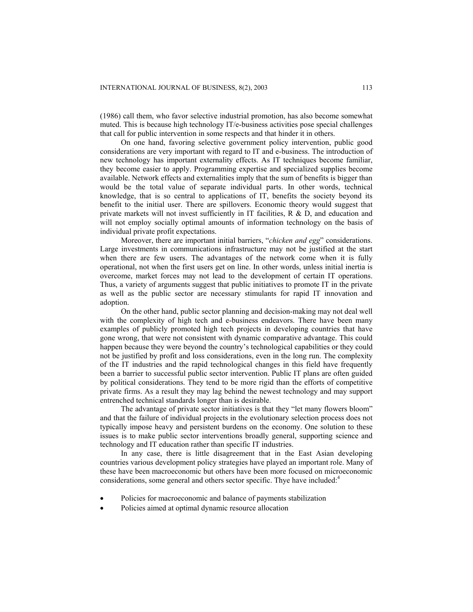(1986) call them, who favor selective industrial promotion, has also become somewhat muted. This is because high technology IT/e-business activities pose special challenges that call for public intervention in some respects and that hinder it in others.

On one hand, favoring selective government policy intervention, public good considerations are very important with regard to IT and e-business. The introduction of new technology has important externality effects. As IT techniques become familiar, they become easier to apply. Programming expertise and specialized supplies become available. Network effects and externalities imply that the sum of benefits is bigger than would be the total value of separate individual parts. In other words, technical knowledge, that is so central to applications of IT, benefits the society beyond its benefit to the initial user. There are spillovers. Economic theory would suggest that private markets will not invest sufficiently in IT facilities,  $R \& D$ , and education and will not employ socially optimal amounts of information technology on the basis of individual private profit expectations.

Moreover, there are important initial barriers, "*chicken and egg*" considerations. Large investments in communications infrastructure may not be justified at the start when there are few users. The advantages of the network come when it is fully operational, not when the first users get on line. In other words, unless initial inertia is overcome, market forces may not lead to the development of certain IT operations. Thus, a variety of arguments suggest that public initiatives to promote IT in the private as well as the public sector are necessary stimulants for rapid IT innovation and adoption.

On the other hand, public sector planning and decision-making may not deal well with the complexity of high tech and e-business endeavors. There have been many examples of publicly promoted high tech projects in developing countries that have gone wrong, that were not consistent with dynamic comparative advantage. This could happen because they were beyond the country's technological capabilities or they could not be justified by profit and loss considerations, even in the long run. The complexity of the IT industries and the rapid technological changes in this field have frequently been a barrier to successful public sector intervention. Public IT plans are often guided by political considerations. They tend to be more rigid than the efforts of competitive private firms. As a result they may lag behind the newest technology and may support entrenched technical standards longer than is desirable.

The advantage of private sector initiatives is that they "let many flowers bloom" and that the failure of individual projects in the evolutionary selection process does not typically impose heavy and persistent burdens on the economy. One solution to these issues is to make public sector interventions broadly general, supporting science and technology and IT education rather than specific IT industries.

In any case, there is little disagreement that in the East Asian developing countries various development policy strategies have played an important role. Many of these have been macroeconomic but others have been more focused on microeconomic considerations, some general and others sector specific. Thye have included:<sup>4</sup>

- Policies for macroeconomic and balance of payments stabilization
- Policies aimed at optimal dynamic resource allocation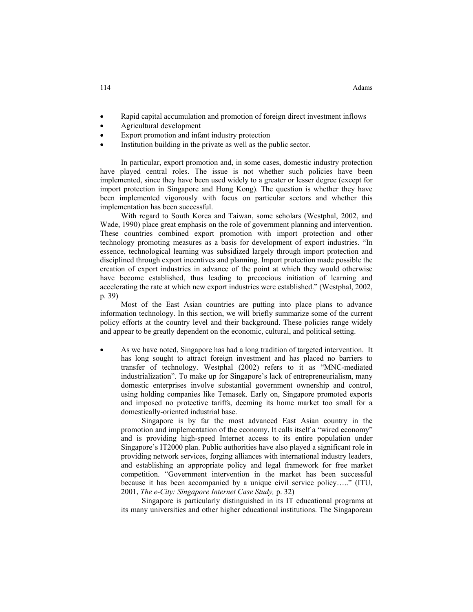- Rapid capital accumulation and promotion of foreign direct investment inflows
- Agricultural development
- Export promotion and infant industry protection
- Institution building in the private as well as the public sector.

In particular, export promotion and, in some cases, domestic industry protection have played central roles. The issue is not whether such policies have been implemented, since they have been used widely to a greater or lesser degree (except for import protection in Singapore and Hong Kong). The question is whether they have been implemented vigorously with focus on particular sectors and whether this implementation has been successful.

With regard to South Korea and Taiwan, some scholars (Westphal, 2002, and Wade, 1990) place great emphasis on the role of government planning and intervention. These countries combined export promotion with import protection and other technology promoting measures as a basis for development of export industries. "In essence, technological learning was subsidized largely through import protection and disciplined through export incentives and planning. Import protection made possible the creation of export industries in advance of the point at which they would otherwise have become established, thus leading to precocious initiation of learning and accelerating the rate at which new export industries were established." (Westphal, 2002, p. 39)

Most of the East Asian countries are putting into place plans to advance information technology. In this section, we will briefly summarize some of the current policy efforts at the country level and their background. These policies range widely and appear to be greatly dependent on the economic, cultural, and political setting.

As we have noted, Singapore has had a long tradition of targeted intervention. It has long sought to attract foreign investment and has placed no barriers to transfer of technology. Westphal (2002) refers to it as "MNC-mediated industrialization". To make up for Singapore's lack of entrepreneurialism, many domestic enterprises involve substantial government ownership and control, using holding companies like Temasek. Early on, Singapore promoted exports and imposed no protective tariffs, deeming its home market too small for a domestically-oriented industrial base.

Singapore is by far the most advanced East Asian country in the promotion and implementation of the economy. It calls itself a "wired economy" and is providing high-speed Internet access to its entire population under Singapore's IT2000 plan. Public authorities have also played a significant role in providing network services, forging alliances with international industry leaders, and establishing an appropriate policy and legal framework for free market competition. "Government intervention in the market has been successful because it has been accompanied by a unique civil service policy….." (ITU, 2001, *The e-City: Singapore Internet Case Study,* p. 32)

Singapore is particularly distinguished in its IT educational programs at its many universities and other higher educational institutions. The Singaporean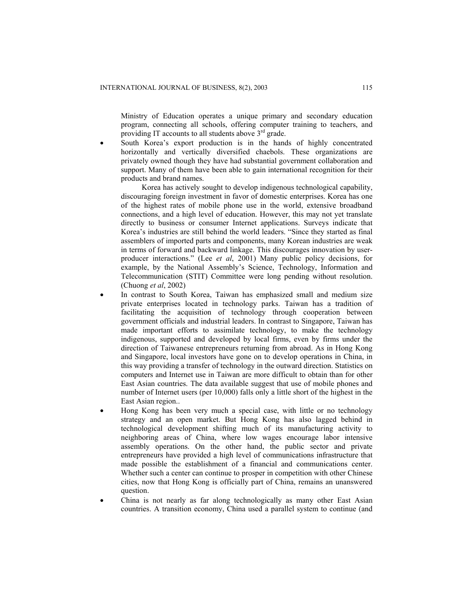Ministry of Education operates a unique primary and secondary education program, connecting all schools, offering computer training to teachers, and providing IT accounts to all students above  $3<sup>rd</sup>$  grade.

South Korea's export production is in the hands of highly concentrated horizontally and vertically diversified chaebols. These organizations are privately owned though they have had substantial government collaboration and support. Many of them have been able to gain international recognition for their products and brand names.

Korea has actively sought to develop indigenous technological capability, discouraging foreign investment in favor of domestic enterprises. Korea has one of the highest rates of mobile phone use in the world, extensive broadband connections, and a high level of education. However, this may not yet translate directly to business or consumer Internet applications. Surveys indicate that Korea's industries are still behind the world leaders. "Since they started as final assemblers of imported parts and components, many Korean industries are weak in terms of forward and backward linkage. This discourages innovation by userproducer interactions." (Lee *et al*, 2001) Many public policy decisions, for example, by the National Assembly's Science, Technology, Information and Telecommunication (STIT) Committee were long pending without resolution. (Chuong *et al*, 2002)

- In contrast to South Korea, Taiwan has emphasized small and medium size private enterprises located in technology parks. Taiwan has a tradition of facilitating the acquisition of technology through cooperation between government officials and industrial leaders. In contrast to Singapore, Taiwan has made important efforts to assimilate technology, to make the technology indigenous, supported and developed by local firms, even by firms under the direction of Taiwanese entrepreneurs returning from abroad. As in Hong Kong and Singapore, local investors have gone on to develop operations in China, in this way providing a transfer of technology in the outward direction. Statistics on computers and Internet use in Taiwan are more difficult to obtain than for other East Asian countries. The data available suggest that use of mobile phones and number of Internet users (per 10,000) falls only a little short of the highest in the East Asian region..
- Hong Kong has been very much a special case, with little or no technology strategy and an open market. But Hong Kong has also lagged behind in technological development shifting much of its manufacturing activity to neighboring areas of China, where low wages encourage labor intensive assembly operations. On the other hand, the public sector and private entrepreneurs have provided a high level of communications infrastructure that made possible the establishment of a financial and communications center. Whether such a center can continue to prosper in competition with other Chinese cities, now that Hong Kong is officially part of China, remains an unanswered question.
- China is not nearly as far along technologically as many other East Asian countries. A transition economy, China used a parallel system to continue (and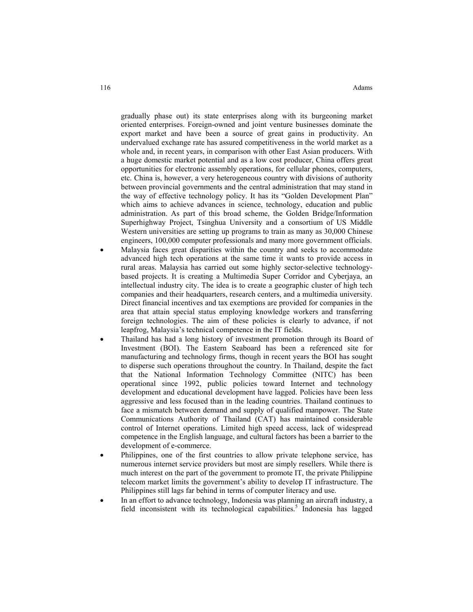gradually phase out) its state enterprises along with its burgeoning market oriented enterprises. Foreign-owned and joint venture businesses dominate the export market and have been a source of great gains in productivity. An undervalued exchange rate has assured competitiveness in the world market as a whole and, in recent years, in comparison with other East Asian producers. With a huge domestic market potential and as a low cost producer, China offers great opportunities for electronic assembly operations, for cellular phones, computers, etc. China is, however, a very heterogeneous country with divisions of authority between provincial governments and the central administration that may stand in the way of effective technology policy. It has its "Golden Development Plan" which aims to achieve advances in science, technology, education and public administration. As part of this broad scheme, the Golden Bridge/Information Superhighway Project, Tsinghua University and a consortium of US Middle Western universities are setting up programs to train as many as 30,000 Chinese engineers, 100,000 computer professionals and many more government officials.

- Malaysia faces great disparities within the country and seeks to accommodate advanced high tech operations at the same time it wants to provide access in rural areas. Malaysia has carried out some highly sector-selective technologybased projects. It is creating a Multimedia Super Corridor and Cyberjaya, an intellectual industry city. The idea is to create a geographic cluster of high tech companies and their headquarters, research centers, and a multimedia university. Direct financial incentives and tax exemptions are provided for companies in the area that attain special status employing knowledge workers and transferring foreign technologies. The aim of these policies is clearly to advance, if not leapfrog, Malaysia's technical competence in the IT fields.
- Thailand has had a long history of investment promotion through its Board of Investment (BOI). The Eastern Seaboard has been a referenced site for manufacturing and technology firms, though in recent years the BOI has sought to disperse such operations throughout the country. In Thailand, despite the fact that the National Information Technology Committee (NITC) has been operational since 1992, public policies toward Internet and technology development and educational development have lagged. Policies have been less aggressive and less focused than in the leading countries. Thailand continues to face a mismatch between demand and supply of qualified manpower. The State Communications Authority of Thailand (CAT) has maintained considerable control of Internet operations. Limited high speed access, lack of widespread competence in the English language, and cultural factors has been a barrier to the development of e-commerce.
- Philippines, one of the first countries to allow private telephone service, has numerous internet service providers but most are simply resellers. While there is much interest on the part of the government to promote IT, the private Philippine telecom market limits the government's ability to develop IT infrastructure. The Philippines still lags far behind in terms of computer literacy and use.
- In an effort to advance technology, Indonesia was planning an aircraft industry, a field inconsistent with its technological capabilities.<sup>5</sup> Indonesia has lagged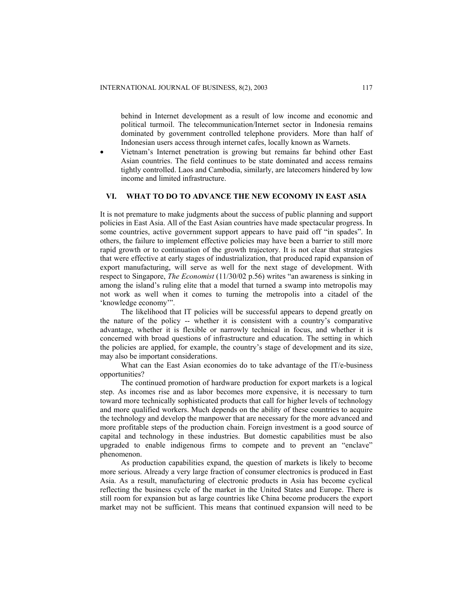behind in Internet development as a result of low income and economic and political turmoil. The telecommunication/Internet sector in Indonesia remains dominated by government controlled telephone providers. More than half of Indonesian users access through internet cafes, locally known as Warnets.

• Vietnam's Internet penetration is growing but remains far behind other East Asian countries. The field continues to be state dominated and access remains tightly controlled. Laos and Cambodia, similarly, are latecomers hindered by low income and limited infrastructure.

## **VI. WHAT TO DO TO ADVANCE THE NEW ECONOMY IN EAST ASIA**

It is not premature to make judgments about the success of public planning and support policies in East Asia. All of the East Asian countries have made spectacular progress. In some countries, active government support appears to have paid off "in spades". In others, the failure to implement effective policies may have been a barrier to still more rapid growth or to continuation of the growth trajectory. It is not clear that strategies that were effective at early stages of industrialization, that produced rapid expansion of export manufacturing, will serve as well for the next stage of development. With respect to Singapore, *The Economist* (11/30/02 p.56) writes "an awareness is sinking in among the island's ruling elite that a model that turned a swamp into metropolis may not work as well when it comes to turning the metropolis into a citadel of the 'knowledge economy'".

The likelihood that IT policies will be successful appears to depend greatly on the nature of the policy -- whether it is consistent with a country's comparative advantage, whether it is flexible or narrowly technical in focus, and whether it is concerned with broad questions of infrastructure and education. The setting in which the policies are applied, for example, the country's stage of development and its size, may also be important considerations.

What can the East Asian economies do to take advantage of the IT/e-business opportunities?

The continued promotion of hardware production for export markets is a logical step. As incomes rise and as labor becomes more expensive, it is necessary to turn toward more technically sophisticated products that call for higher levels of technology and more qualified workers. Much depends on the ability of these countries to acquire the technology and develop the manpower that are necessary for the more advanced and more profitable steps of the production chain. Foreign investment is a good source of capital and technology in these industries. But domestic capabilities must be also upgraded to enable indigenous firms to compete and to prevent an "enclave" phenomenon.

As production capabilities expand, the question of markets is likely to become more serious. Already a very large fraction of consumer electronics is produced in East Asia. As a result, manufacturing of electronic products in Asia has become cyclical reflecting the business cycle of the market in the United States and Europe. There is still room for expansion but as large countries like China become producers the export market may not be sufficient. This means that continued expansion will need to be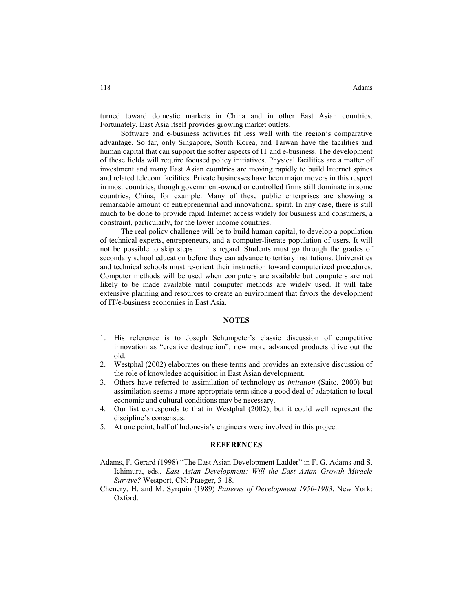turned toward domestic markets in China and in other East Asian countries. Fortunately, East Asia itself provides growing market outlets.

Software and e-business activities fit less well with the region's comparative advantage. So far, only Singapore, South Korea, and Taiwan have the facilities and human capital that can support the softer aspects of IT and e-business. The development of these fields will require focused policy initiatives. Physical facilities are a matter of investment and many East Asian countries are moving rapidly to build Internet spines and related telecom facilities. Private businesses have been major movers in this respect in most countries, though government-owned or controlled firms still dominate in some countries, China, for example. Many of these public enterprises are showing a remarkable amount of entrepreneurial and innovational spirit. In any case, there is still much to be done to provide rapid Internet access widely for business and consumers, a constraint, particularly, for the lower income countries.

The real policy challenge will be to build human capital, to develop a population of technical experts, entrepreneurs, and a computer-literate population of users. It will not be possible to skip steps in this regard. Students must go through the grades of secondary school education before they can advance to tertiary institutions. Universities and technical schools must re-orient their instruction toward computerized procedures. Computer methods will be used when computers are available but computers are not likely to be made available until computer methods are widely used. It will take extensive planning and resources to create an environment that favors the development of IT/e-business economies in East Asia.

#### **NOTES**

- 1. His reference is to Joseph Schumpeter's classic discussion of competitive innovation as "creative destruction"; new more advanced products drive out the old.
- 2. Westphal (2002) elaborates on these terms and provides an extensive discussion of the role of knowledge acquisition in East Asian development.
- 3. Others have referred to assimilation of technology as *imitation* (Saito, 2000) but assimilation seems a more appropriate term since a good deal of adaptation to local economic and cultural conditions may be necessary.
- 4. Our list corresponds to that in Westphal (2002), but it could well represent the discipline's consensus.
- 5. At one point, half of Indonesia's engineers were involved in this project.

#### **REFERENCES**

- Adams, F. Gerard (1998) "The East Asian Development Ladder" in F. G. Adams and S. Ichimura, eds., *East Asian Development: Will the East Asian Growth Miracle Survive?* Westport, CN: Praeger, 3-18.
- Chenery, H. and M. Syrquin (1989) *Patterns of Development 1950-1983*, New York: Oxford.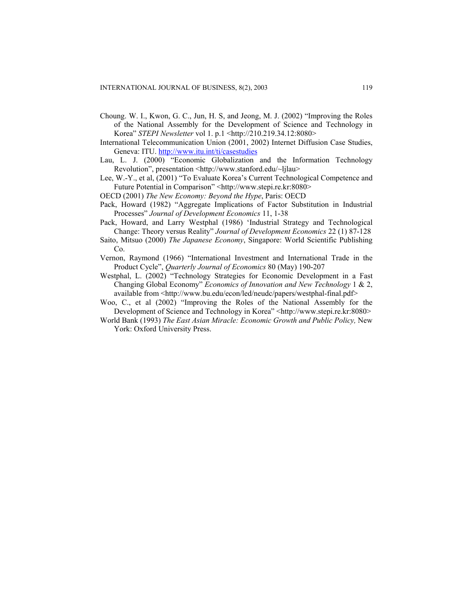- Choung. W. I., Kwon, G. C., Jun, H. S, and Jeong, M. J. (2002) "Improving the Roles of the National Assembly for the Development of Science and Technology in Korea" *STEPI Newsletter* vol 1. p.1 <http://210.219.34.12:8080>
- International Telecommunication Union (2001, 2002) Internet Diffusion Case Studies, Geneva: ITU.<http://www.itu.int/ti/casestudies>
- Lau, L. J. (2000) "Economic Globalization and the Information Technology Revolution", presentation <http://www.stanford.edu/~ljlau>
- Lee, W.-Y., et al, (2001) "To Evaluate Korea's Current Technological Competence and Future Potential in Comparison" <http://www.stepi.re.kr:8080>
- OECD (2001) *The New Economy: Beyond the Hype*, Paris: OECD
- Pack, Howard (1982) "Aggregate Implications of Factor Substitution in Industrial Processes" *Journal of Development Economics* 11, 1-38
- Pack, Howard, and Larry Westphal (1986) 'Industrial Strategy and Technological Change: Theory versus Reality" *Journal of Development Economics* 22 (1) 87-128
- Saito, Mitsuo (2000) *The Japanese Economy*, Singapore: World Scientific Publishing Co.
- Vernon, Raymond (1966) "International Investment and International Trade in the Product Cycle", *Quarterly Journal of Economics* 80 (May) 190-207
- Westphal, L. (2002) "Technology Strategies for Economic Development in a Fast Changing Global Economy" *Economics of Innovation and New Technology* 1 & 2, available from <http://www.bu.edu/econ/led/neudc/papers/westphal-final.pdf>
- Woo, C., et al (2002) "Improving the Roles of the National Assembly for the Development of Science and Technology in Korea" <http://www.stepi.re.kr:8080>
- World Bank (1993) *The East Asian Miracle: Economic Growth and Public Policy,* New York: Oxford University Press.